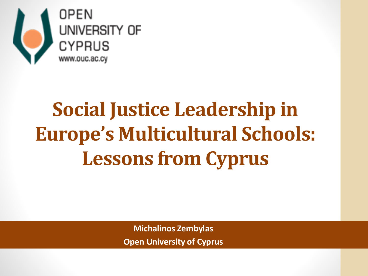

# **Social Justice Leadership in Europe's Multicultural Schools: Lessons from Cyprus**

**Michalinos Zembylas Open University of Cyprus**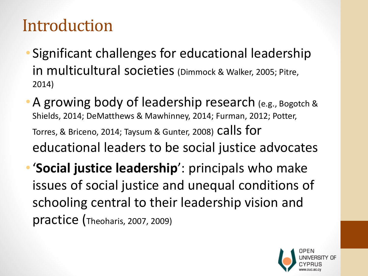# Introduction

- Significant challenges for educational leadership in multicultural societies (Dimmock & Walker, 2005; Pitre, 2014)
- A growing body of leadership research (e.g., Bogotch & Shields, 2014; DeMatthews & Mawhinney, 2014; Furman, 2012; Potter, Torres, & Briceno, 2014; Taysum & Gunter, 2008) Calls for educational leaders to be social justice advocates
- •'**Social justice leadership**': principals who make issues of social justice and unequal conditions of schooling central to their leadership vision and practice (Theoharis, 2007, 2009)

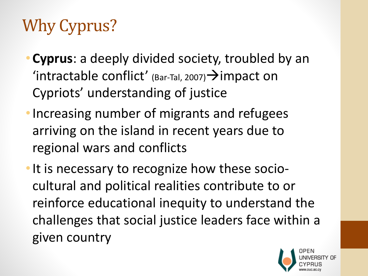# Why Cyprus?

- **Cyprus**: a deeply divided society, troubled by an 'intractable conflict' (Bar-Tal, 2007)  $\rightarrow$  impact on Cypriots' understanding of justice
- •Increasing number of migrants and refugees arriving on the island in recent years due to regional wars and conflicts
- It is necessary to recognize how these sociocultural and political realities contribute to or reinforce educational inequity to understand the challenges that social justice leaders face within a given country

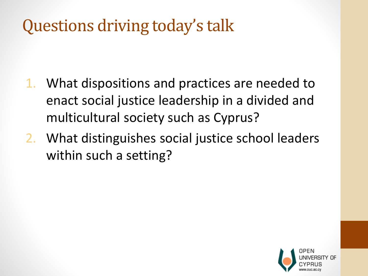# Questions driving today's talk

- 1. What dispositions and practices are needed to enact social justice leadership in a divided and multicultural society such as Cyprus?
- 2. What distinguishes social justice school leaders within such a setting?

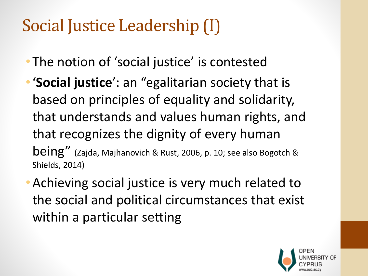# Social Justice Leadership (I)

- The notion of 'social justice' is contested
- •'**Social justice**': an "egalitarian society that is based on principles of equality and solidarity, that understands and values human rights, and that recognizes the dignity of every human being" (Zajda, Majhanovich & Rust, 2006, p. 10; see also Bogotch & Shields, 2014)
- •Achieving social justice is very much related to the social and political circumstances that exist within a particular setting

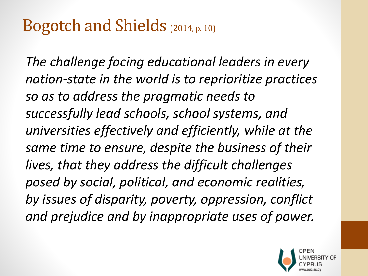### Bogotch and Shields (2014, p. 10)

*The challenge facing educational leaders in every nation-state in the world is to reprioritize practices so as to address the pragmatic needs to successfully lead schools, school systems, and universities effectively and efficiently, while at the same time to ensure, despite the business of their lives, that they address the difficult challenges posed by social, political, and economic realities, by issues of disparity, poverty, oppression, conflict and prejudice and by inappropriate uses of power.*

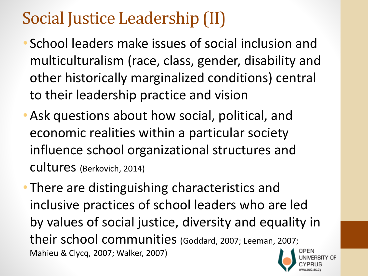# Social Justice Leadership (II)

- School leaders make issues of social inclusion and multiculturalism (race, class, gender, disability and other historically marginalized conditions) central to their leadership practice and vision
- •Ask questions about how social, political, and economic realities within a particular society influence school organizational structures and cultures (Berkovich, 2014)

• There are distinguishing characteristics and inclusive practices of school leaders who are led by values of social justice, diversity and equality in their school communities (Goddard, 2007; Leeman, 2007; Mahieu & Clycq, 2007; Walker, 2007)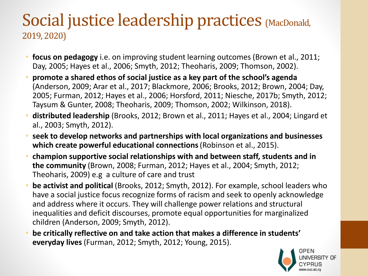#### Social justice leadership practices (MacDonald, 2019, 2020)

- **focus on pedagogy** i.e. on improving student learning outcomes (Brown et al., 2011; Day, 2005; Hayes et al., 2006; Smyth, 2012; Theoharis, 2009; Thomson, 2002).
- **promote a shared ethos of social justice as a key part of the school's agenda** (Anderson, 2009; Arar et al., 2017; Blackmore, 2006; Brooks, 2012; Brown, 2004; Day, 2005; Furman, 2012; Hayes et al., 2006; Horsford, 2011; Niesche, 2017b; Smyth, 2012; Taysum & Gunter, 2008; Theoharis, 2009; Thomson, 2002; Wilkinson, 2018).
- **distributed leadership** (Brooks, 2012; Brown et al., 2011; Hayes et al., 2004; Lingard et al., 2003; Smyth, 2012).
- **seek to develop networks and partnerships with local organizations and businesses which create powerful educational connections**(Robinson et al., 2015).
- **champion supportive social relationships with and between staff, students and in the community** (Brown, 2008; Furman, 2012; Hayes et al., 2004; Smyth, 2012; Theoharis, 2009) e.g a culture of care and trust
- **be activist and political** (Brooks, 2012; Smyth, 2012). For example, school leaders who have a social justice focus recognize forms of racism and seek to openly acknowledge and address where it occurs. They will challenge power relations and structural inequalities and deficit discourses, promote equal opportunities for marginalized children (Anderson, 2009; Smyth, 2012).
- **be critically reflective on and take action that makes a difference in students' everyday lives**(Furman, 2012; Smyth, 2012; Young, 2015).

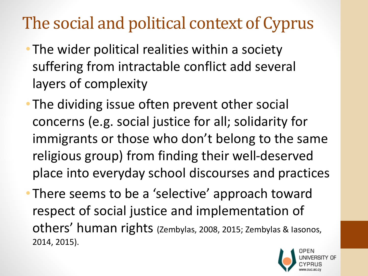# The social and political context of Cyprus

- The wider political realities within a society suffering from intractable conflict add several layers of complexity
- The dividing issue often prevent other social concerns (e.g. social justice for all; solidarity for immigrants or those who don't belong to the same religious group) from finding their well-deserved place into everyday school discourses and practices
- There seems to be a 'selective' approach toward respect of social justice and implementation of others' human rights (Zembylas, 2008, 2015; Zembylas & Iasonos, 2014, 2015).

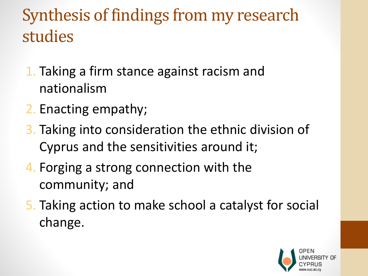# Synthesis of findings from my research studies

- 1. Taking a firm stance against racism and nationalism
- 2. Enacting empathy;
- 3. Taking into consideration the ethnic division of Cyprus and the sensitivities around it;
- 4. Forging a strong connection with the community; and
- 5. Taking action to make school a catalyst for social change.

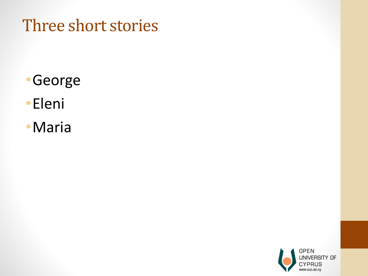### Three short stories

- •George
- •Eleni
- •Maria

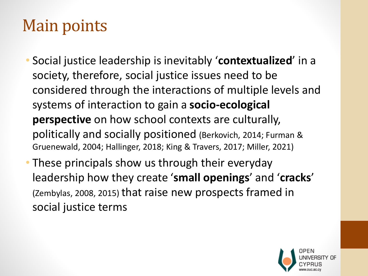# Main points

- Social justice leadership is inevitably '**contextualized**' in a society, therefore, social justice issues need to be considered through the interactions of multiple levels and systems of interaction to gain a **socio-ecological perspective** on how school contexts are culturally, politically and socially positioned (Berkovich, 2014; Furman & Gruenewald, 2004; Hallinger, 2018; King & Travers, 2017; Miller, 2021)
- These principals show us through their everyday leadership how they create '**small openings**' and '**cracks**' (Zembylas, 2008, 2015) that raise new prospects framed in social justice terms

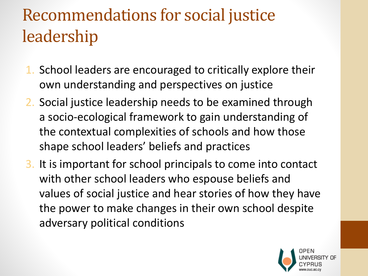# Recommendations for social justice leadership

- 1. School leaders are encouraged to critically explore their own understanding and perspectives on justice
- 2. Social justice leadership needs to be examined through a socio-ecological framework to gain understanding of the contextual complexities of schools and how those shape school leaders' beliefs and practices
- 3. It is important for school principals to come into contact with other school leaders who espouse beliefs and values of social justice and hear stories of how they have the power to make changes in their own school despite adversary political conditions